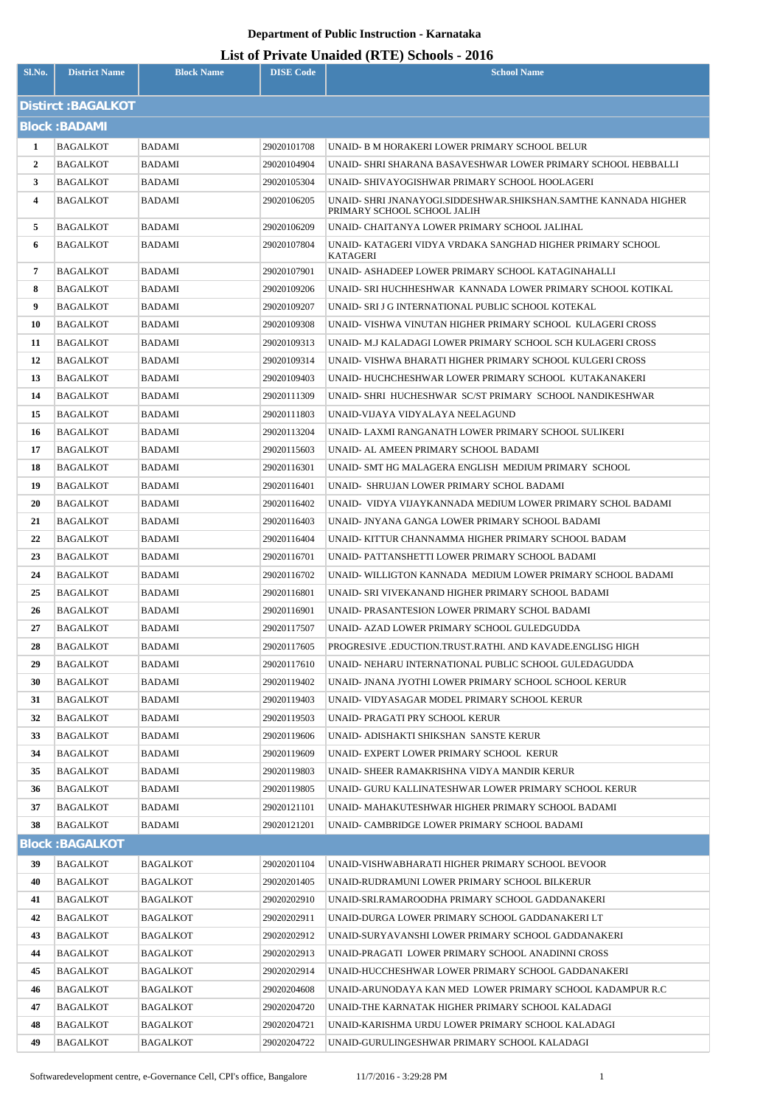| Sl.No.         | <b>District Name</b>   | <b>Block Name</b> | <b>DISE Code</b>           | <b>School Name</b>                                                                                             |
|----------------|------------------------|-------------------|----------------------------|----------------------------------------------------------------------------------------------------------------|
|                |                        |                   |                            |                                                                                                                |
|                | Distirct: BAGALKOT     |                   |                            |                                                                                                                |
|                | <b>Block: BADAMI</b>   |                   |                            |                                                                                                                |
| $\mathbf{1}$   | <b>BAGALKOT</b>        | <b>BADAMI</b>     | 29020101708                | UNAID- B M HORAKERI LOWER PRIMARY SCHOOL BELUR                                                                 |
| $\overline{2}$ | BAGALKOT               | BADAMI            | 29020104904                | UNAID- SHRI SHARANA BASAVESHWAR LOWER PRIMARY SCHOOL HEBBALLI                                                  |
| 3              | <b>BAGALKOT</b>        | <b>BADAMI</b>     | 29020105304                | UNAID- SHIVAYOGISHWAR PRIMARY SCHOOL HOOLAGERI                                                                 |
| $\overline{4}$ | BAGALKOT               | BADAMI            | 29020106205                | UNAID- SHRI JNANAYOGI.SIDDESHWAR.SHIKSHAN.SAMTHE KANNADA HIGHER<br>PRIMARY SCHOOL SCHOOL JALIH                 |
| 5              | BAGALKOT               | <b>BADAMI</b>     | 29020106209                | UNAID- CHAITANYA LOWER PRIMARY SCHOOL JALIHAL                                                                  |
| 6              | BAGALKOT               | BADAMI            | 29020107804                | UNAID- KATAGERI VIDYA VRDAKA SANGHAD HIGHER PRIMARY SCHOOL<br><b>KATAGERI</b>                                  |
| $\overline{7}$ | BAGALKOT               | BADAMI            | 29020107901                | UNAID- ASHADEEP LOWER PRIMARY SCHOOL KATAGINAHALLI                                                             |
| 8              | <b>BAGALKOT</b>        | BADAMI            | 29020109206                | UNAID- SRI HUCHHESHWAR KANNADA LOWER PRIMARY SCHOOL KOTIKAL                                                    |
| 9              | BAGALKOT               | BADAMI            | 29020109207                | UNAID- SRI J G INTERNATIONAL PUBLIC SCHOOL KOTEKAL                                                             |
| 10             | <b>BAGALKOT</b>        | BADAMI            | 29020109308                | UNAID- VISHWA VINUTAN HIGHER PRIMARY SCHOOL KULAGERI CROSS                                                     |
| 11             | <b>BAGALKOT</b>        | BADAMI            | 29020109313                | UNAID- M.J KALADAGI LOWER PRIMARY SCHOOL SCH KULAGERI CROSS                                                    |
| 12             | <b>BAGALKOT</b>        | BADAMI            | 29020109314                | UNAID- VISHWA BHARATI HIGHER PRIMARY SCHOOL KULGERI CROSS                                                      |
| 13             | <b>BAGALKOT</b>        | BADAMI            | 29020109403                | UNAID-HUCHCHESHWAR LOWER PRIMARY SCHOOL KUTAKANAKERI                                                           |
| 14             | BAGALKOT               | BADAMI            | 29020111309                | UNAID- SHRI HUCHESHWAR SC/ST PRIMARY SCHOOL NANDIKESHWAR                                                       |
| 15             | <b>BAGALKOT</b>        | BADAMI            | 29020111803                | UNAID-VIJAYA VIDYALAYA NEELAGUND                                                                               |
| 16             | <b>BAGALKOT</b>        | BADAMI            | 29020113204                | UNAID- LAXMI RANGANATH LOWER PRIMARY SCHOOL SULIKERI                                                           |
| 17             | <b>BAGALKOT</b>        | BADAMI            | 29020115603                | UNAID- AL AMEEN PRIMARY SCHOOL BADAMI                                                                          |
| 18             | <b>BAGALKOT</b>        | BADAMI            | 29020116301                | UNAID- SMT HG MALAGERA ENGLISH MEDIUM PRIMARY SCHOOL                                                           |
| 19             | <b>BAGALKOT</b>        | BADAMI            | 29020116401                | UNAID- SHRUJAN LOWER PRIMARY SCHOL BADAMI                                                                      |
| 20             | <b>BAGALKOT</b>        | BADAMI            | 29020116402                | UNAID- VIDYA VIJAYKANNADA MEDIUM LOWER PRIMARY SCHOL BADAMI                                                    |
| 21             | BAGALKOT               | BADAMI            | 29020116403                | UNAID- JNYANA GANGA LOWER PRIMARY SCHOOL BADAMI                                                                |
| 22             | BAGALKOT               | BADAMI            | 29020116404                | UNAID-KITTUR CHANNAMMA HIGHER PRIMARY SCHOOL BADAM                                                             |
| 23             | <b>BAGALKOT</b>        | BADAMI            | 29020116701                | UNAID-PATTANSHETTI LOWER PRIMARY SCHOOL BADAMI                                                                 |
| 24             | BAGALKOT               | BADAMI            | 29020116702                | UNAID-WILLIGTON KANNADA MEDIUM LOWER PRIMARY SCHOOL BADAMI                                                     |
| 25             | <b>BAGALKOT</b>        | <b>BADAMI</b>     | 29020116801                | UNAID- SRI VIVEKANAND HIGHER PRIMARY SCHOOL BADAMI                                                             |
| 26             | BAGALKOT               | BADAMI            | 29020116901                | UNAID- PRASANTESION LOWER PRIMARY SCHOL BADAMI                                                                 |
| 27             | <b>BAGALKOT</b>        | BADAMI            | 29020117507                | UNAID- AZAD LOWER PRIMARY SCHOOL GULEDGUDDA                                                                    |
| 28             | BAGALKOT               | BADAMI            | 29020117605                | PROGRESIVE .EDUCTION.TRUST.RATHI. AND KAVADE.ENGLISG HIGH                                                      |
| 29<br>30       | BAGALKOT<br>BAGALKOT   | BADAMI<br>BADAMI  | 29020117610<br>29020119402 | UNAID- NEHARU INTERNATIONAL PUBLIC SCHOOL GULEDAGUDDA<br>UNAID- JNANA JYOTHI LOWER PRIMARY SCHOOL SCHOOL KERUR |
| 31             | BAGALKOT               | BADAMI            | 29020119403                | UNAID- VIDYASAGAR MODEL PRIMARY SCHOOL KERUR                                                                   |
| 32             | BAGALKOT               | BADAMI            | 29020119503                | UNAID- PRAGATI PRY SCHOOL KERUR                                                                                |
| 33             | BAGALKOT               | BADAMI            | 29020119606                | UNAID- ADISHAKTI SHIKSHAN SANSTE KERUR                                                                         |
| 34             | BAGALKOT               | BADAMI            | 29020119609                | UNAID- EXPERT LOWER PRIMARY SCHOOL KERUR                                                                       |
| 35             | <b>BAGALKOT</b>        | BADAMI            | 29020119803                | UNAID- SHEER RAMAKRISHNA VIDYA MANDIR KERUR                                                                    |
| 36             | <b>BAGALKOT</b>        | BADAMI            | 29020119805                | UNAID- GURU KALLINATESHWAR LOWER PRIMARY SCHOOL KERUR                                                          |
| 37             | BAGALKOT               | BADAMI            | 29020121101                | UNAID- MAHAKUTESHWAR HIGHER PRIMARY SCHOOL BADAMI                                                              |
| 38             | BAGALKOT               | BADAMI            | 29020121201                | UNAID- CAMBRIDGE LOWER PRIMARY SCHOOL BADAMI                                                                   |
|                | <b>Block: BAGALKOT</b> |                   |                            |                                                                                                                |
| 39             | BAGALKOT               | BAGALKOT          | 29020201104                | UNAID-VISHWABHARATI HIGHER PRIMARY SCHOOL BEVOOR                                                               |
| 40             | <b>BAGALKOT</b>        | <b>BAGALKOT</b>   | 29020201405                | UNAID-RUDRAMUNI LOWER PRIMARY SCHOOL BILKERUR                                                                  |
| 41             | BAGALKOT               | BAGALKOT          | 29020202910                | UNAID-SRI.RAMAROODHA PRIMARY SCHOOL GADDANAKERI                                                                |
| 42             | <b>BAGALKOT</b>        | BAGALKOT          | 29020202911                | UNAID-DURGA LOWER PRIMARY SCHOOL GADDANAKERI LT                                                                |
| 43             | BAGALKOT               | BAGALKOT          | 29020202912                | UNAID-SURYAVANSHI LOWER PRIMARY SCHOOL GADDANAKERI                                                             |
| 44             | <b>BAGALKOT</b>        | BAGALKOT          | 29020202913                | UNAID-PRAGATI LOWER PRIMARY SCHOOL ANADINNI CROSS                                                              |
| 45             | BAGALKOT               | BAGALKOT          | 29020202914                | UNAID-HUCCHESHWAR LOWER PRIMARY SCHOOL GADDANAKERI                                                             |
| 46             | BAGALKOT               | BAGALKOT          | 29020204608                | UNAID-ARUNODAYA KAN MED LOWER PRIMARY SCHOOL KADAMPUR R.C                                                      |
| 47             | BAGALKOT               | BAGALKOT          | 29020204720                | UNAID-THE KARNATAK HIGHER PRIMARY SCHOOL KALADAGI                                                              |
| 48             | BAGALKOT               | BAGALKOT          | 29020204721                | UNAID-KARISHMA URDU LOWER PRIMARY SCHOOL KALADAGI                                                              |
| 49             | BAGALKOT               | BAGALKOT          | 29020204722                | UNAID-GURULINGESHWAR PRIMARY SCHOOL KALADAGI                                                                   |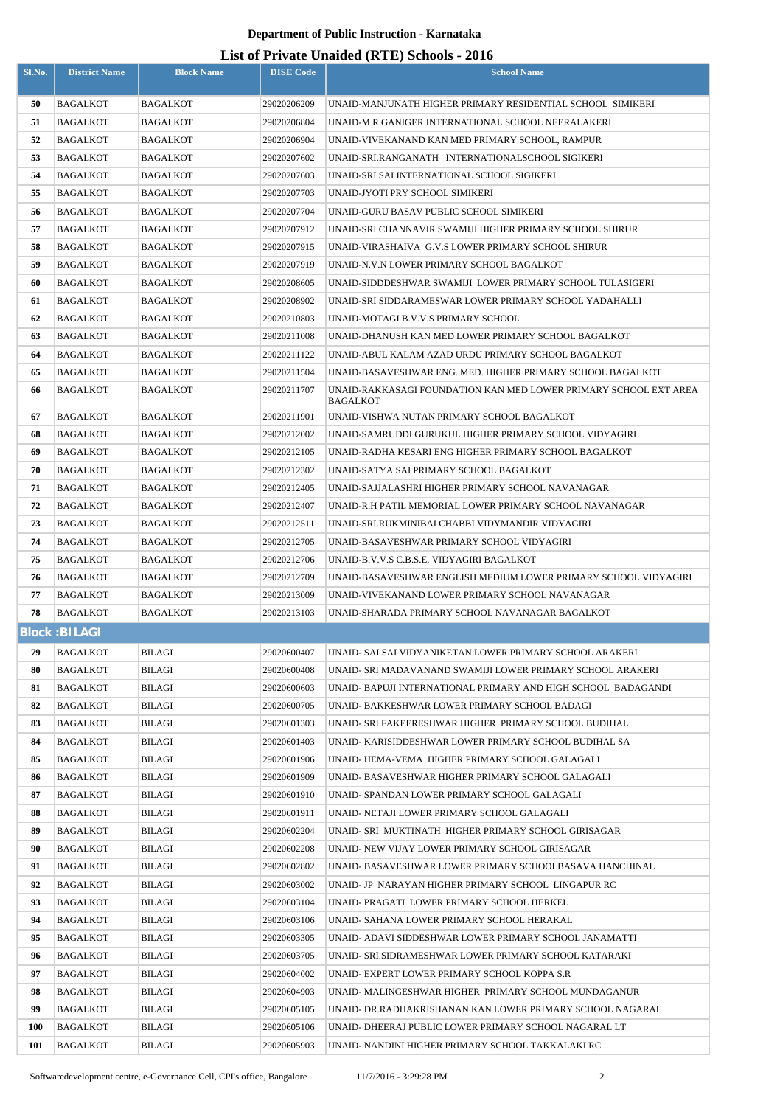| Sl.No.   | <b>District Name</b>               | <b>Block Name</b>                  | <b>DISE Code</b>           | <b>School Name</b>                                                                                     |
|----------|------------------------------------|------------------------------------|----------------------------|--------------------------------------------------------------------------------------------------------|
| 50       | <b>BAGALKOT</b>                    | BAGALKOT                           | 29020206209                | UNAID-MANJUNATH HIGHER PRIMARY RESIDENTIAL SCHOOL SIMIKERI                                             |
| 51       | <b>BAGALKOT</b>                    | BAGALKOT                           | 29020206804                | UNAID-M R GANIGER INTERNATIONAL SCHOOL NEERALAKERI                                                     |
| 52       | BAGALKOT                           | BAGALKOT                           | 29020206904                | UNAID-VIVEKANAND KAN MED PRIMARY SCHOOL, RAMPUR                                                        |
| 53       | <b>BAGALKOT</b>                    | <b>BAGALKOT</b>                    | 29020207602                | UNAID-SRI.RANGANATH INTERNATIONALSCHOOL SIGIKERI                                                       |
| 54       | <b>BAGALKOT</b>                    | BAGALKOT                           | 29020207603                | UNAID-SRI SAI INTERNATIONAL SCHOOL SIGIKERI                                                            |
| 55       | <b>BAGALKOT</b>                    | <b>BAGALKOT</b>                    | 29020207703                | UNAID-JYOTI PRY SCHOOL SIMIKERI                                                                        |
| 56       | BAGALKOT                           | <b>BAGALKOT</b>                    | 29020207704                | UNAID-GURU BASAV PUBLIC SCHOOL SIMIKERI                                                                |
| 57       | <b>BAGALKOT</b>                    | <b>BAGALKOT</b>                    | 29020207912                | UNAID-SRI CHANNAVIR SWAMIJI HIGHER PRIMARY SCHOOL SHIRUR                                               |
| 58       | BAGALKOT                           | BAGALKOT                           | 29020207915                | UNAID-VIRASHAIVA G.V.S LOWER PRIMARY SCHOOL SHIRUR                                                     |
| 59       | <b>BAGALKOT</b>                    | <b>BAGALKOT</b>                    | 29020207919                | UNAID-N.V.N LOWER PRIMARY SCHOOL BAGALKOT                                                              |
| 60       | BAGALKOT                           | BAGALKOT                           | 29020208605                | UNAID-SIDDDESHWAR SWAMIJI LOWER PRIMARY SCHOOL TULASIGERI                                              |
| 61       | <b>BAGALKOT</b>                    | <b>BAGALKOT</b>                    | 29020208902                | UNAID-SRI SIDDARAMESWAR LOWER PRIMARY SCHOOL YADAHALLI                                                 |
| 62       | <b>BAGALKOT</b>                    | BAGALKOT                           | 29020210803                | UNAID-MOTAGI B.V.V.S PRIMARY SCHOOL                                                                    |
| 63       | <b>BAGALKOT</b>                    | BAGALKOT                           | 29020211008                | UNAID-DHANUSH KAN MED LOWER PRIMARY SCHOOL BAGALKOT                                                    |
| 64       | <b>BAGALKOT</b>                    | BAGALKOT                           | 29020211122                | UNAID-ABUL KALAM AZAD URDU PRIMARY SCHOOL BAGALKOT                                                     |
| 65       | <b>BAGALKOT</b>                    | BAGALKOT                           | 29020211504                | UNAID-BASAVESHWAR ENG. MED. HIGHER PRIMARY SCHOOL BAGALKOT                                             |
| 66       | <b>BAGALKOT</b>                    | <b>BAGALKOT</b>                    | 29020211707                | UNAID-RAKKASAGI FOUNDATION KAN MED LOWER PRIMARY SCHOOL EXT AREA<br><b>BAGALKOT</b>                    |
| 67       | <b>BAGALKOT</b>                    | BAGALKOT                           | 29020211901                | UNAID-VISHWA NUTAN PRIMARY SCHOOL BAGALKOT                                                             |
| 68       | <b>BAGALKOT</b>                    | <b>BAGALKOT</b>                    | 29020212002                | UNAID-SAMRUDDI GURUKUL HIGHER PRIMARY SCHOOL VIDYAGIRI                                                 |
| 69       | BAGALKOT                           | BAGALKOT                           | 29020212105                | UNAID-RADHA KESARI ENG HIGHER PRIMARY SCHOOL BAGALKOT                                                  |
| 70       | <b>BAGALKOT</b>                    | <b>BAGALKOT</b>                    | 29020212302                | UNAID-SATYA SAI PRIMARY SCHOOL BAGALKOT                                                                |
| 71       | <b>BAGALKOT</b>                    | BAGALKOT                           | 29020212405                | UNAID-SAJJALASHRI HIGHER PRIMARY SCHOOL NAVANAGAR                                                      |
| 72       | <b>BAGALKOT</b>                    | <b>BAGALKOT</b>                    | 29020212407                | UNAID-R.H PATIL MEMORIAL LOWER PRIMARY SCHOOL NAVANAGAR                                                |
| 73       | <b>BAGALKOT</b>                    | <b>BAGALKOT</b>                    | 29020212511                | UNAID-SRI.RUKMINIBAI CHABBI VIDYMANDIR VIDYAGIRI                                                       |
| 74       | <b>BAGALKOT</b>                    | <b>BAGALKOT</b>                    | 29020212705                | UNAID-BASAVESHWAR PRIMARY SCHOOL VIDYAGIRI                                                             |
| 75       | BAGALKOT                           | <b>BAGALKOT</b>                    | 29020212706                | UNAID-B.V.V.S C.B.S.E. VIDYAGIRI BAGALKOT                                                              |
| 76       | <b>BAGALKOT</b>                    | <b>BAGALKOT</b>                    | 29020212709                | UNAID-BASAVESHWAR ENGLISH MEDIUM LOWER PRIMARY SCHOOL VIDYAGIRI                                        |
| 77       | <b>BAGALKOT</b>                    | <b>BAGALKOT</b><br><b>BAGALKOT</b> | 29020213009                | UNAID-VIVEKANAND LOWER PRIMARY SCHOOL NAVANAGAR                                                        |
| 78       | <b>BAGALKOT</b>                    |                                    | 29020213103                | UNAID-SHARADA PRIMARY SCHOOL NAVANAGAR BAGALKOT                                                        |
|          | <b>Block: BILAGI</b>               |                                    |                            |                                                                                                        |
| 79       | <b>BAGALKOT</b>                    | BILAGI                             | 29020600407                | UNAID- SAI SAI VIDYANIKETAN LOWER PRIMARY SCHOOL ARAKERI                                               |
| 80       | <b>BAGALKOT</b>                    | BILAGI                             | 29020600408                | UNAID- SRI MADAVANAND SWAMIJI LOWER PRIMARY SCHOOL ARAKERI                                             |
| 81       | <b>BAGALKOT</b>                    | BILAGI                             | 29020600603                | UNAID- BAPUJI INTERNATIONAL PRIMARY AND HIGH SCHOOL BADAGANDI                                          |
| 82<br>83 | <b>BAGALKOT</b><br><b>BAGALKOT</b> | BILAGI<br>BILAGI                   | 29020600705<br>29020601303 | UNAID- BAKKESHWAR LOWER PRIMARY SCHOOL BADAGI<br>UNAID- SRI FAKEERESHWAR HIGHER PRIMARY SCHOOL BUDIHAL |
| 84       | <b>BAGALKOT</b>                    | BILAGI                             | 29020601403                | UNAID- KARISIDDESHWAR LOWER PRIMARY SCHOOL BUDIHAL SA                                                  |
| 85       | BAGALKOT                           | BILAGI                             | 29020601906                | UNAID-HEMA-VEMA HIGHER PRIMARY SCHOOL GALAGALI                                                         |
| 86       | BAGALKOT                           | BILAGI                             | 29020601909                | UNAID- BASAVESHWAR HIGHER PRIMARY SCHOOL GALAGALI                                                      |
| 87       | <b>BAGALKOT</b>                    | BILAGI                             | 29020601910                | UNAID- SPANDAN LOWER PRIMARY SCHOOL GALAGALI                                                           |
| 88       | BAGALKOT                           | BILAGI                             | 29020601911                | UNAID- NETAJI LOWER PRIMARY SCHOOL GALAGALI                                                            |
| 89       | BAGALKOT                           | BILAGI                             | 29020602204                | UNAID- SRI MUKTINATH HIGHER PRIMARY SCHOOL GIRISAGAR                                                   |
| 90       | <b>BAGALKOT</b>                    | BILAGI                             | 29020602208                | UNAID- NEW VIJAY LOWER PRIMARY SCHOOL GIRISAGAR                                                        |
| 91       | <b>BAGALKOT</b>                    | <b>BILAGI</b>                      | 29020602802                | UNAID- BASAVESHWAR LOWER PRIMARY SCHOOLBASAVA HANCHINAL                                                |
| 92       | BAGALKOT                           | BILAGI                             | 29020603002                | UNAID- JP NARAYAN HIGHER PRIMARY SCHOOL LINGAPUR RC                                                    |
| 93       | <b>BAGALKOT</b>                    | <b>BILAGI</b>                      | 29020603104                | UNAID- PRAGATI LOWER PRIMARY SCHOOL HERKEL                                                             |
| 94       | <b>BAGALKOT</b>                    | BILAGI                             | 29020603106                | UNAID- SAHANA LOWER PRIMARY SCHOOL HERAKAL                                                             |
| 95       | <b>BAGALKOT</b>                    | <b>BILAGI</b>                      | 29020603305                | UNAID- ADAVI SIDDESHWAR LOWER PRIMARY SCHOOL JANAMATTI                                                 |
| 96       | <b>BAGALKOT</b>                    | BILAGI                             | 29020603705                | UNAID- SRI.SIDRAMESHWAR LOWER PRIMARY SCHOOL KATARAKI                                                  |
| 97       | <b>BAGALKOT</b>                    | BILAGI                             | 29020604002                | UNAID- EXPERT LOWER PRIMARY SCHOOL KOPPA S.R                                                           |
| 98       | <b>BAGALKOT</b>                    | BILAGI                             | 29020604903                | UNAID- MALINGESHWAR HIGHER PRIMARY SCHOOL MUNDAGANUR                                                   |
| 99       | <b>BAGALKOT</b>                    | BILAGI                             | 29020605105                | UNAID- DR.RADHAKRISHANAN KAN LOWER PRIMARY SCHOOL NAGARAL                                              |
| 100      | <b>BAGALKOT</b>                    | BILAGI                             | 29020605106                | UNAID- DHEERAJ PUBLIC LOWER PRIMARY SCHOOL NAGARAL LT                                                  |
| 101      | <b>BAGALKOT</b>                    | <b>BILAGI</b>                      | 29020605903                | UNAID- NANDINI HIGHER PRIMARY SCHOOL TAKKALAKI RC                                                      |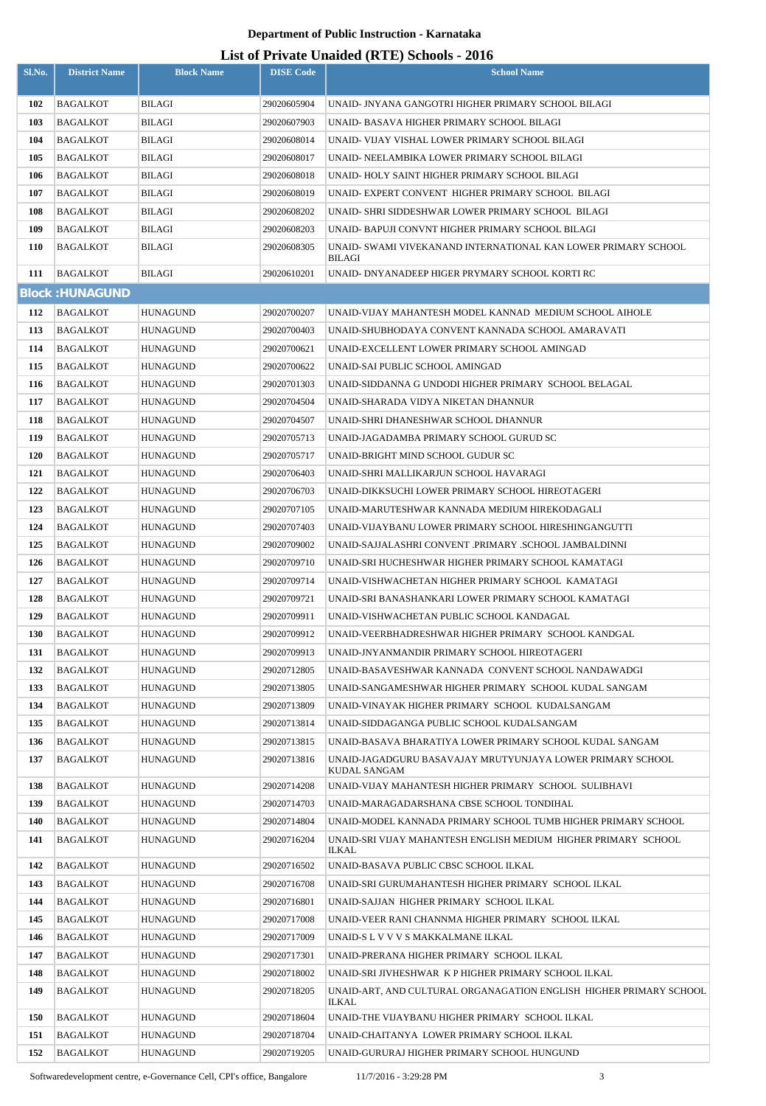### **List of Private Unaided (RTE) Schools - 2016**

| Sl.No.     | <b>District Name</b>   | <b>Block Name</b> | <b>DISE Code</b> | <b>School Name</b>                                                             |
|------------|------------------------|-------------------|------------------|--------------------------------------------------------------------------------|
|            |                        |                   |                  |                                                                                |
| 102        | <b>BAGALKOT</b>        | <b>BILAGI</b>     | 29020605904      | UNAID- JNYANA GANGOTRI HIGHER PRIMARY SCHOOL BILAGI                            |
| 103        | BAGALKOT               | <b>BILAGI</b>     | 29020607903      | UNAID- BASAVA HIGHER PRIMARY SCHOOL BILAGI                                     |
| 104        | BAGALKOT               | BILAGI            | 29020608014      | UNAID- VIJAY VISHAL LOWER PRIMARY SCHOOL BILAGI                                |
| 105        | BAGALKOT               | BILAGI            | 29020608017      | UNAID- NEELAMBIKA LOWER PRIMARY SCHOOL BILAGI                                  |
| 106        | BAGALKOT               | BILAGI            | 29020608018      | UNAID- HOLY SAINT HIGHER PRIMARY SCHOOL BILAGI                                 |
| 107        | BAGALKOT               | <b>BILAGI</b>     | 29020608019      | UNAID- EXPERT CONVENT HIGHER PRIMARY SCHOOL BILAGI                             |
| 108        | BAGALKOT               | <b>BILAGI</b>     | 29020608202      | UNAID- SHRI SIDDESHWAR LOWER PRIMARY SCHOOL  BILAGI                            |
| 109        | BAGALKOT               | <b>BILAGI</b>     | 29020608203      | UNAID- BAPUJI CONVNT HIGHER PRIMARY SCHOOL BILAGI                              |
| 110        | BAGALKOT               | <b>BILAGI</b>     | 29020608305      | UNAID- SWAMI VIVEKANAND INTERNATIONAL KAN LOWER PRIMARY SCHOOL<br>BILAGI       |
| 111        | <b>BAGALKOT</b>        | <b>BILAGI</b>     | 29020610201      | UNAID- DNYANADEEP HIGER PRYMARY SCHOOL KORTI RC                                |
|            | <b>Block: HUNAGUND</b> |                   |                  |                                                                                |
| 112        | <b>BAGALKOT</b>        | <b>HUNAGUND</b>   | 29020700207      | UNAID-VIJAY MAHANTESH MODEL KANNAD MEDIUM SCHOOL AIHOLE                        |
| 113        | <b>BAGALKOT</b>        | HUNAGUND          | 29020700403      | UNAID-SHUBHODAYA CONVENT KANNADA SCHOOL AMARAVATI                              |
| 114        | BAGALKOT               | HUNAGUND          | 29020700621      | UNAID-EXCELLENT LOWER PRIMARY SCHOOL AMINGAD                                   |
| 115        | BAGALKOT               | HUNAGUND          | 29020700622      | UNAID-SAI PUBLIC SCHOOL AMINGAD                                                |
| 116        | BAGALKOT               | HUNAGUND          | 29020701303      | UNAID-SIDDANNA G UNDODI HIGHER PRIMARY SCHOOL BELAGAL                          |
| 117        | BAGALKOT               | HUNAGUND          | 29020704504      | UNAID-SHARADA VIDYA NIKETAN DHANNUR                                            |
| 118        | BAGALKOT               | HUNAGUND          | 29020704507      | UNAID-SHRI DHANESHWAR SCHOOL DHANNUR                                           |
| 119        | BAGALKOT               | HUNAGUND          | 29020705713      | UNAID-JAGADAMBA PRIMARY SCHOOL GURUD SC                                        |
| <b>120</b> | BAGALKOT               | HUNAGUND          | 29020705717      | UNAID-BRIGHT MIND SCHOOL GUDUR SC                                              |
| 121        | BAGALKOT               | HUNAGUND          | 29020706403      | UNAID-SHRI MALLIKARJUN SCHOOL HAVARAGI                                         |
| 122        | <b>BAGALKOT</b>        | HUNAGUND          | 29020706703      | UNAID-DIKKSUCHI LOWER PRIMARY SCHOOL HIREOTAGERI                               |
| 123        | BAGALKOT               | HUNAGUND          | 29020707105      | UNAID-MARUTESHWAR KANNADA MEDIUM HIREKODAGALI                                  |
| 124        | <b>BAGALKOT</b>        | HUNAGUND          | 29020707403      | UNAID-VIJAYBANU LOWER PRIMARY SCHOOL HIRESHINGANGUTTI                          |
| 125        | BAGALKOT               | <b>HUNAGUND</b>   | 29020709002      | UNAID-SAJJALASHRI CONVENT .PRIMARY .SCHOOL JAMBALDINNI                         |
| 126        | BAGALKOT               | HUNAGUND          | 29020709710      | UNAID-SRI HUCHESHWAR HIGHER PRIMARY SCHOOL KAMATAGI                            |
| 127        | BAGALKOT               | HUNAGUND          | 29020709714      | UNAID-VISHWACHETAN HIGHER PRIMARY SCHOOL KAMATAGI                              |
| 128        | <b>BAGALKOT</b>        | <b>HUNAGUND</b>   | 29020709721      | UNAID-SRI BANASHANKARI LOWER PRIMARY SCHOOL KAMATAGI                           |
| 129        | BAGALKOT               | HUNAGUND          | 29020709911      | UNAID-VISHWACHETAN PUBLIC SCHOOL KANDAGAL                                      |
| 130        | <b>BAGALKOT</b>        | <b>HUNAGUND</b>   | 29020709912      | UNAID-VEERBHADRESHWAR HIGHER PRIMARY SCHOOL KANDGAL                            |
| 131        | BAGALKOT               | <b>HUNAGUND</b>   | 29020709913      | UNAID-JNYANMANDIR PRIMARY SCHOOL HIREOTAGERI                                   |
| 132        | <b>BAGALKOT</b>        | <b>HUNAGUND</b>   | 29020712805      | UNAID-BASAVESHWAR KANNADA CONVENT SCHOOL NANDAWADGI                            |
| 133        | BAGALKOT               | <b>HUNAGUND</b>   | 29020713805      | UNAID-SANGAMESHWAR HIGHER PRIMARY SCHOOL KUDAL SANGAM                          |
| 134        | BAGALKOT               | <b>HUNAGUND</b>   | 29020713809      | UNAID-VINAYAK HIGHER PRIMARY SCHOOL KUDALSANGAM                                |
| 135        | <b>BAGALKOT</b>        | <b>HUNAGUND</b>   | 29020713814      | UNAID-SIDDAGANGA PUBLIC SCHOOL KUDALSANGAM                                     |
| 136        | <b>BAGALKOT</b>        | <b>HUNAGUND</b>   | 29020713815      | UNAID-BASAVA BHARATIYA LOWER PRIMARY SCHOOL KUDAL SANGAM                       |
| 137        | BAGALKOT               | <b>HUNAGUND</b>   | 29020713816      | UNAID-JAGADGURU BASAVAJAY MRUTYUNJAYA LOWER PRIMARY SCHOOL<br>KUDAL SANGAM     |
| 138        | BAGALKOT               | <b>HUNAGUND</b>   | 29020714208      | UNAID-VIJAY MAHANTESH HIGHER PRIMARY SCHOOL SULIBHAVI                          |
| 139        | <b>BAGALKOT</b>        | <b>HUNAGUND</b>   | 29020714703      | UNAID-MARAGADARSHANA CBSE SCHOOL TONDIHAL                                      |
| 140        | BAGALKOT               | <b>HUNAGUND</b>   | 29020714804      | UNAID-MODEL KANNADA PRIMARY SCHOOL TUMB HIGHER PRIMARY SCHOOL                  |
| 141        | <b>BAGALKOT</b>        | <b>HUNAGUND</b>   | 29020716204      | UNAID-SRI VIJAY MAHANTESH ENGLISH MEDIUM HIGHER PRIMARY SCHOOL<br><b>ILKAL</b> |
| 142        | BAGALKOT               | <b>HUNAGUND</b>   | 29020716502      | UNAID-BASAVA PUBLIC CBSC SCHOOL ILKAL                                          |
| 143        | <b>BAGALKOT</b>        | <b>HUNAGUND</b>   | 29020716708      | UNAID-SRI GURUMAHANTESH HIGHER PRIMARY  SCHOOL ILKAL                           |
| 144        | BAGALKOT               | <b>HUNAGUND</b>   | 29020716801      | UNAID-SAJJAN HIGHER PRIMARY SCHOOL ILKAL                                       |
| 145        | BAGALKOT               | <b>HUNAGUND</b>   | 29020717008      | UNAID-VEER RANI CHANNMA HIGHER PRIMARY SCHOOL ILKAL                            |
| 146        | BAGALKOT               | <b>HUNAGUND</b>   | 29020717009      | UNAID-S L V V V S MAKKALMANE ILKAL                                             |
| 147        | <b>BAGALKOT</b>        | <b>HUNAGUND</b>   | 29020717301      | UNAID-PRERANA HIGHER PRIMARY SCHOOL ILKAL                                      |
| 148        | <b>BAGALKOT</b>        | <b>HUNAGUND</b>   | 29020718002      | UNAID-SRI JIVHESHWAR KP HIGHER PRIMARY SCHOOL ILKAL                            |
| 149        | <b>BAGALKOT</b>        | <b>HUNAGUND</b>   | 29020718205      | UNAID-ART, AND CULTURAL ORGANAGATION ENGLISH HIGHER PRIMARY SCHOOL<br>ILKAL    |
| 150        | <b>BAGALKOT</b>        | <b>HUNAGUND</b>   | 29020718604      | UNAID-THE VIJAYBANU HIGHER PRIMARY SCHOOL ILKAL                                |
| 151        | BAGALKOT               | <b>HUNAGUND</b>   | 29020718704      | UNAID-CHAITANYA LOWER PRIMARY SCHOOL ILKAL                                     |
| 152        | <b>BAGALKOT</b>        | <b>HUNAGUND</b>   | 29020719205      | UNAID-GURURAJ HIGHER PRIMARY SCHOOL HUNGUND                                    |

Softwaredevelopment centre, e-Governance Cell, CPI's office, Bangalore 11/7/2016 - 3:29:28 PM 3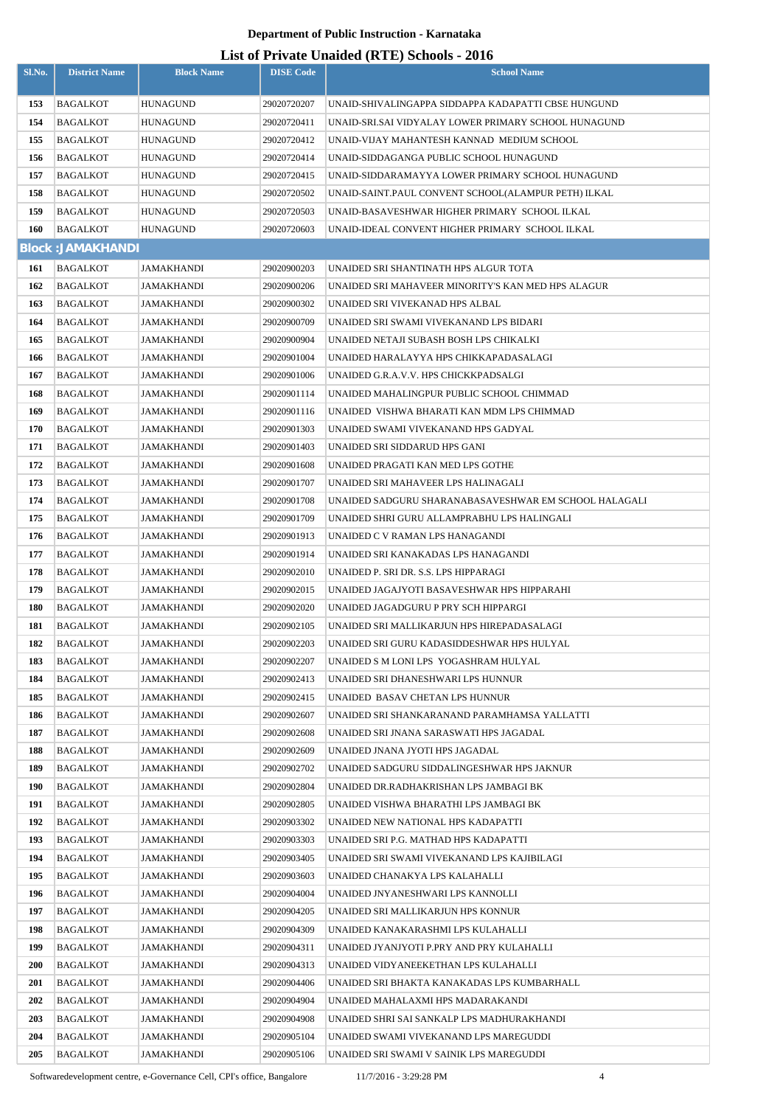# **List of Private Unaided (RTE) Schools - 2016**

|            |                          |                   |                  | List of Frivate Unaffect (KFL) SCHOOLS - 2010         |
|------------|--------------------------|-------------------|------------------|-------------------------------------------------------|
| Sl.No.     | <b>District Name</b>     | <b>Block Name</b> | <b>DISE Code</b> | <b>School Name</b>                                    |
| 153        | BAGALKOT                 | HUNAGUND          | 29020720207      | UNAID-SHIVALINGAPPA SIDDAPPA KADAPATTI CBSE HUNGUND   |
| 154        | BAGALKOT                 | HUNAGUND          | 29020720411      | UNAID-SRI.SAI VIDYALAY LOWER PRIMARY SCHOOL HUNAGUND  |
| 155        | <b>BAGALKOT</b>          | <b>HUNAGUND</b>   | 29020720412      | UNAID-VIJAY MAHANTESH KANNAD MEDIUM SCHOOL            |
| 156        | BAGALKOT                 | HUNAGUND          | 29020720414      | UNAID-SIDDAGANGA PUBLIC SCHOOL HUNAGUND               |
| 157        | <b>BAGALKOT</b>          | HUNAGUND          | 29020720415      | UNAID-SIDDARAMAYYA LOWER PRIMARY SCHOOL HUNAGUND      |
| 158        | BAGALKOT                 | HUNAGUND          | 29020720502      | UNAID-SAINT.PAUL CONVENT SCHOOL(ALAMPUR PETH) ILKAL   |
| 159        | <b>BAGALKOT</b>          | HUNAGUND          | 29020720503      | UNAID-BASAVESHWAR HIGHER PRIMARY SCHOOL ILKAL         |
| 160        | <b>BAGALKOT</b>          | HUNAGUND          | 29020720603      | UNAID-IDEAL CONVENT HIGHER PRIMARY SCHOOL ILKAL       |
|            | <b>Block: JAMAKHANDI</b> |                   |                  |                                                       |
| 161        | <b>BAGALKOT</b>          | JAMAKHANDI        | 29020900203      | UNAIDED SRI SHANTINATH HPS ALGUR TOTA                 |
| 162        | BAGALKOT                 | JAMAKHANDI        | 29020900206      | UNAIDED SRI MAHAVEER MINORITY'S KAN MED HPS ALAGUR    |
| 163        | <b>BAGALKOT</b>          | JAMAKHANDI        | 29020900302      | UNAIDED SRI VIVEKANAD HPS ALBAL                       |
| 164        | BAGALKOT                 | JAMAKHANDI        | 29020900709      | UNAIDED SRI SWAMI VIVEKANAND LPS BIDARI               |
| 165        | BAGALKOT                 | JAMAKHANDI        | 29020900904      | UNAIDED NETAJI SUBASH BOSH LPS CHIKALKI               |
| 166        | BAGALKOT                 | JAMAKHANDI        | 29020901004      | UNAIDED HARALAYYA HPS CHIKKAPADASALAGI                |
| 167        | BAGALKOT                 | JAMAKHANDI        | 29020901006      | UNAIDED G.R.A.V.V. HPS CHICKKPADSALGI                 |
| 168        | BAGALKOT                 | JAMAKHANDI        | 29020901114      | UNAIDED MAHALINGPUR PUBLIC SCHOOL CHIMMAD             |
| 169        | BAGALKOT                 | JAMAKHANDI        | 29020901116      | UNAIDED VISHWA BHARATI KAN MDM LPS CHIMMAD            |
| 170        | BAGALKOT                 | JAMAKHANDI        | 29020901303      | UNAIDED SWAMI VIVEKANAND HPS GADYAL                   |
| 171        | <b>BAGALKOT</b>          | JAMAKHANDI        | 29020901403      | UNAIDED SRI SIDDARUD HPS GANI                         |
| 172        | BAGALKOT                 | JAMAKHANDI        | 29020901608      | UNAIDED PRAGATI KAN MED LPS GOTHE                     |
| 173        | BAGALKOT                 | JAMAKHANDI        | 29020901707      | UNAIDED SRI MAHAVEER LPS HALINAGALI                   |
| 174        | BAGALKOT                 | JAMAKHANDI        | 29020901708      | UNAIDED SADGURU SHARANABASAVESHWAR EM SCHOOL HALAGALI |
| 175        | BAGALKOT                 | JAMAKHANDI        | 29020901709      | UNAIDED SHRI GURU ALLAMPRABHU LPS HALINGALI           |
| 176        | <b>BAGALKOT</b>          | JAMAKHANDI        | 29020901913      | UNAIDED C V RAMAN LPS HANAGANDI                       |
| 177        | BAGALKOT                 | JAMAKHANDI        | 29020901914      | UNAIDED SRI KANAKADAS LPS HANAGANDI                   |
| 178        | <b>BAGALKOT</b>          | JAMAKHANDI        | 29020902010      | UNAIDED P. SRI DR. S.S. LPS HIPPARAGI                 |
| 179        | BAGALKOT                 | JAMAKHANDI        | 29020902015      | UNAIDED JAGAJYOTI BASAVESHWAR HPS HIPPARAHI           |
| 180        | <b>BAGALKOT</b>          | JAMAKHANDI        | 29020902020      | UNAIDED JAGADGURU P PRY SCH HIPPARGI                  |
| 181        | BAGALKOT                 | JAMAKHANDI        | 29020902105      | UNAIDED SRI MALLIKARJUN HPS HIREPADASALAGI            |
| 182        | <b>BAGALKOT</b>          | JAMAKHANDI        | 29020902203      | UNAIDED SRI GURU KADASIDDESHWAR HPS HULYAL            |
| 183        | BAGALKOT                 | JAMAKHANDI        | 29020902207      | UNAIDED S M LONI LPS YOGASHRAM HULYAL                 |
| 184        | <b>BAGALKOT</b>          | JAMAKHANDI        | 29020902413      | UNAIDED SRI DHANESHWARI LPS HUNNUR                    |
| 185        | BAGALKOT                 | JAMAKHANDI        | 29020902415      | UNAIDED BASAV CHETAN LPS HUNNUR                       |
| 186        | BAGALKOT                 | JAMAKHANDI        | 29020902607      | UNAIDED SRI SHANKARANAND PARAMHAMSA YALLATTI          |
| 187        | BAGALKOT                 | JAMAKHANDI        | 29020902608      | UNAIDED SRI JNANA SARASWATI HPS JAGADAL               |
| 188        | <b>BAGALKOT</b>          | JAMAKHANDI        | 29020902609      | UNAIDED JNANA JYOTI HPS JAGADAL                       |
| 189        | BAGALKOT                 | JAMAKHANDI        | 29020902702      | UNAIDED SADGURU SIDDALINGESHWAR HPS JAKNUR            |
| 190        | BAGALKOT                 | JAMAKHANDI        | 29020902804      | UNAIDED DR.RADHAKRISHAN LPS JAMBAGI BK                |
| 191        | BAGALKOT                 | JAMAKHANDI        | 29020902805      | UNAIDED VISHWA BHARATHI LPS JAMBAGI BK                |
| 192        | BAGALKOT                 | JAMAKHANDI        | 29020903302      | UNAIDED NEW NATIONAL HPS KADAPATTI                    |
| 193        | BAGALKOT                 | JAMAKHANDI        | 29020903303      | UNAIDED SRI P.G. MATHAD HPS KADAPATTI                 |
| 194        | BAGALKOT                 | JAMAKHANDI        | 29020903405      | UNAIDED SRI SWAMI VIVEKANAND LPS KAJIBILAGI           |
| 195        | BAGALKOT                 | JAMAKHANDI        | 29020903603      | UNAIDED CHANAKYA LPS KALAHALLI                        |
| 196        | BAGALKOT                 | JAMAKHANDI        | 29020904004      | UNAIDED JNYANESHWARI LPS KANNOLLI                     |
| 197        | BAGALKOT                 | JAMAKHANDI        | 29020904205      | UNAIDED SRI MALLIKARJUN HPS KONNUR                    |
| 198        | BAGALKOT                 | JAMAKHANDI        | 29020904309      | UNAIDED KANAKARASHMI LPS KULAHALLI                    |
| 199        | BAGALKOT                 | JAMAKHANDI        | 29020904311      | UNAIDED JYANJYOTI P.PRY AND PRY KULAHALLI             |
| <b>200</b> | <b>BAGALKOT</b>          | JAMAKHANDI        | 29020904313      | UNAIDED VIDYANEEKETHAN LPS KULAHALLI                  |
| 201        | <b>BAGALKOT</b>          | JAMAKHANDI        | 29020904406      | UNAIDED SRI BHAKTA KANAKADAS LPS KUMBARHALL           |
| 202        | BAGALKOT                 | JAMAKHANDI        | 29020904904      | UNAIDED MAHALAXMI HPS MADARAKANDI                     |
| 203        | <b>BAGALKOT</b>          | JAMAKHANDI        | 29020904908      | UNAIDED SHRI SAI SANKALP LPS MADHURAKHANDI            |
| 204        | BAGALKOT                 | JAMAKHANDI        | 29020905104      | UNAIDED SWAMI VIVEKANAND LPS MAREGUDDI                |
| 205        | BAGALKOT                 | JAMAKHANDI        | 29020905106      | UNAIDED SRI SWAMI V SAINIK LPS MAREGUDDI              |

Softwaredevelopment centre, e-Governance Cell, CPI's office, Bangalore 11/7/2016 - 3:29:28 PM 4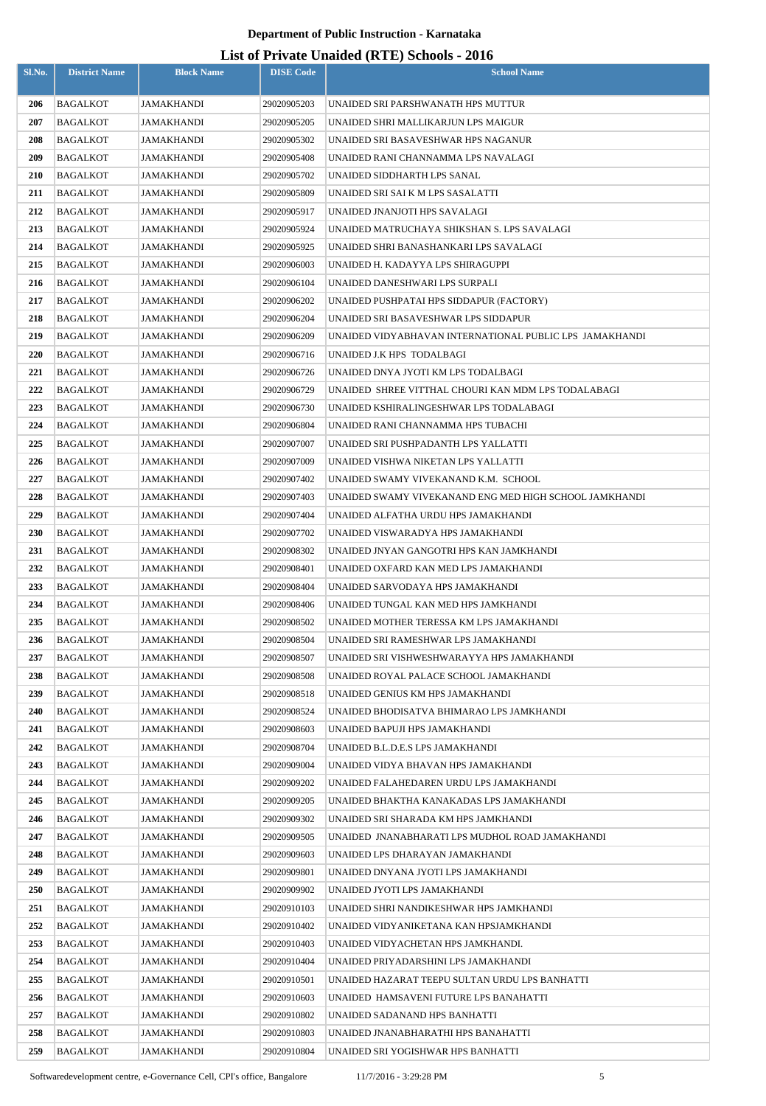| Sl.No.     | <b>District Name</b>        | <b>Block Name</b>        | <b>DISE Code</b>           | $\frac{1}{100}$ of 111, and $\frac{1}{100}$ and $\frac{1}{100}$ and $\frac{1}{100}$<br><b>School Name</b> |
|------------|-----------------------------|--------------------------|----------------------------|-----------------------------------------------------------------------------------------------------------|
| 206        | <b>BAGALKOT</b>             | JAMAKHANDI               | 29020905203                | UNAIDED SRI PARSHWANATH HPS MUTTUR                                                                        |
| 207        | <b>BAGALKOT</b>             | JAMAKHANDI               | 29020905205                | UNAIDED SHRI MALLIKARJUN LPS MAIGUR                                                                       |
| 208        | BAGALKOT                    | JAMAKHANDI               | 29020905302                | UNAIDED SRI BASAVESHWAR HPS NAGANUR                                                                       |
| 209        | <b>BAGALKOT</b>             | JAMAKHANDI               | 29020905408                | UNAIDED RANI CHANNAMMA LPS NAVALAGI                                                                       |
| 210        | <b>BAGALKOT</b>             | JAMAKHANDI               | 29020905702                | UNAIDED SIDDHARTH LPS SANAL                                                                               |
| 211        | <b>BAGALKOT</b>             | JAMAKHANDI               | 29020905809                | UNAIDED SRI SAI K M LPS SASALATTI                                                                         |
| 212        | <b>BAGALKOT</b>             | JAMAKHANDI               | 29020905917                | UNAIDED JNANJOTI HPS SAVALAGI                                                                             |
| 213        | <b>BAGALKOT</b>             | JAMAKHANDI               | 29020905924                | UNAIDED MATRUCHAYA SHIKSHAN S. LPS SAVALAGI                                                               |
| 214        | <b>BAGALKOT</b>             | JAMAKHANDI               | 29020905925                | UNAIDED SHRI BANASHANKARI LPS SAVALAGI                                                                    |
| 215        | <b>BAGALKOT</b>             | JAMAKHANDI               | 29020906003                | UNAIDED H. KADAYYA LPS SHIRAGUPPI                                                                         |
| 216        | <b>BAGALKOT</b>             | JAMAKHANDI               | 29020906104                | UNAIDED DANESHWARI LPS SURPALI                                                                            |
| 217        | BAGALKOT                    | JAMAKHANDI               | 29020906202                | UNAIDED PUSHPATAI HPS SIDDAPUR (FACTORY)                                                                  |
| 218        | <b>BAGALKOT</b>             | JAMAKHANDI               | 29020906204                | UNAIDED SRI BASAVESHWAR LPS SIDDAPUR                                                                      |
| 219        | <b>BAGALKOT</b>             | JAMAKHANDI               | 29020906209                | UNAIDED VIDYABHAVAN INTERNATIONAL PUBLIC LPS JAMAKHANDI                                                   |
| 220        | <b>BAGALKOT</b>             | JAMAKHANDI               | 29020906716                | UNAIDED J.K HPS TODALBAGI                                                                                 |
| 221        | <b>BAGALKOT</b>             | JAMAKHANDI               | 29020906726                | UNAIDED DNYA JYOTI KM LPS TODALBAGI                                                                       |
| 222        | <b>BAGALKOT</b>             | JAMAKHANDI               | 29020906729                | UNAIDED SHREE VITTHAL CHOURI KAN MDM LPS TODALABAGI                                                       |
| 223        | <b>BAGALKOT</b>             | JAMAKHANDI               | 29020906730                | UNAIDED KSHIRALINGESHWAR LPS TODALABAGI                                                                   |
| 224        | <b>BAGALKOT</b>             | JAMAKHANDI               | 29020906804                | UNAIDED RANI CHANNAMMA HPS TUBACHI                                                                        |
| 225        | <b>BAGALKOT</b>             | JAMAKHANDI               | 29020907007                | UNAIDED SRI PUSHPADANTH LPS YALLATTI                                                                      |
| 226        | <b>BAGALKOT</b>             | JAMAKHANDI               | 29020907009                | UNAIDED VISHWA NIKETAN LPS YALLATTI                                                                       |
| 227        | <b>BAGALKOT</b>             | JAMAKHANDI               | 29020907402                | UNAIDED SWAMY VIVEKANAND K.M. SCHOOL                                                                      |
| 228        | <b>BAGALKOT</b>             | JAMAKHANDI               | 29020907403                | UNAIDED SWAMY VIVEKANAND ENG MED HIGH SCHOOL JAMKHANDI                                                    |
| 229        | <b>BAGALKOT</b>             | JAMAKHANDI               | 29020907404                | UNAIDED ALFATHA URDU HPS JAMAKHANDI                                                                       |
| <b>230</b> | <b>BAGALKOT</b>             | JAMAKHANDI               | 29020907702                | UNAIDED VISWARADYA HPS JAMAKHANDI                                                                         |
| 231        | <b>BAGALKOT</b>             | JAMAKHANDI               | 29020908302                | UNAIDED JNYAN GANGOTRI HPS KAN JAMKHANDI                                                                  |
| 232        | <b>BAGALKOT</b>             | JAMAKHANDI               | 29020908401                | UNAIDED OXFARD KAN MED LPS JAMAKHANDI                                                                     |
| 233        | BAGALKOT                    | JAMAKHANDI               | 29020908404                | UNAIDED SARVODAYA HPS JAMAKHANDI                                                                          |
| 234        | BAGALKOT                    | JAMAKHANDI               | 29020908406                | UNAIDED TUNGAL KAN MED HPS JAMKHANDI                                                                      |
| 235        | <b>BAGALKOT</b>             | JAMAKHANDI               | 29020908502                | UNAIDED MOTHER TERESSA KM LPS JAMAKHANDI                                                                  |
| 236        | <b>BAGALKOT</b>             | JAMAKHANDI               | 29020908504                | UNAIDED SRI RAMESHWAR LPS JAMAKHANDI                                                                      |
| 237<br>238 | BAGALKOT<br><b>BAGALKOT</b> | JAMAKHANDI<br>JAMAKHANDI | 29020908507                | UNAIDED SRI VISHWESHWARAYYA HPS JAMAKHANDI<br>UNAIDED ROYAL PALACE SCHOOL JAMAKHANDI                      |
| 239        | <b>BAGALKOT</b>             | JAMAKHANDI               | 29020908508<br>29020908518 | UNAIDED GENIUS KM HPS JAMAKHANDI                                                                          |
| 240        | <b>BAGALKOT</b>             | JAMAKHANDI               | 29020908524                | UNAIDED BHODISATVA BHIMARAO LPS JAMKHANDI                                                                 |
| 241        | <b>BAGALKOT</b>             | JAMAKHANDI               | 29020908603                | UNAIDED BAPUJI HPS JAMAKHANDI                                                                             |
| 242        | <b>BAGALKOT</b>             | JAMAKHANDI               | 29020908704                | UNAIDED B.L.D.E.S LPS JAMAKHANDI                                                                          |
| 243        | <b>BAGALKOT</b>             | JAMAKHANDI               | 29020909004                | UNAIDED VIDYA BHAVAN HPS JAMAKHANDI                                                                       |
| 244        | BAGALKOT                    | JAMAKHANDI               | 29020909202                | UNAIDED FALAHEDAREN URDU LPS JAMAKHANDI                                                                   |
| 245        | <b>BAGALKOT</b>             | JAMAKHANDI               | 29020909205                | UNAIDED BHAKTHA KANAKADAS LPS JAMAKHANDI                                                                  |
| 246        | BAGALKOT                    | JAMAKHANDI               | 29020909302                | UNAIDED SRI SHARADA KM HPS JAMKHANDI                                                                      |
| 247        | <b>BAGALKOT</b>             | JAMAKHANDI               | 29020909505                | UNAIDED JNANABHARATI LPS MUDHOL ROAD JAMAKHANDI                                                           |
| 248        | BAGALKOT                    | JAMAKHANDI               | 29020909603                | UNAIDED LPS DHARAYAN JAMAKHANDI                                                                           |
| 249        | BAGALKOT                    | JAMAKHANDI               | 29020909801                | UNAIDED DNYANA JYOTI LPS JAMAKHANDI                                                                       |
| <b>250</b> | BAGALKOT                    | JAMAKHANDI               | 29020909902                | UNAIDED JYOTI LPS JAMAKHANDI                                                                              |
| 251        | <b>BAGALKOT</b>             | JAMAKHANDI               | 29020910103                | UNAIDED SHRI NANDIKESHWAR HPS JAMKHANDI                                                                   |
| 252        | BAGALKOT                    | JAMAKHANDI               | 29020910402                | UNAIDED VIDYANIKETANA KAN HPSJAMKHANDI                                                                    |
| 253        | <b>BAGALKOT</b>             | JAMAKHANDI               | 29020910403                | UNAIDED VIDYACHETAN HPS JAMKHANDI.                                                                        |
| 254        | BAGALKOT                    | JAMAKHANDI               | 29020910404                | UNAIDED PRIYADARSHINI LPS JAMAKHANDI                                                                      |
| 255        | <b>BAGALKOT</b>             | JAMAKHANDI               | 29020910501                | UNAIDED HAZARAT TEEPU SULTAN URDU LPS BANHATTI                                                            |
| 256        | <b>BAGALKOT</b>             | JAMAKHANDI               | 29020910603                | UNAIDED HAMSAVENI FUTURE LPS BANAHATTI                                                                    |
| 257        | <b>BAGALKOT</b>             | JAMAKHANDI               | 29020910802                | UNAIDED SADANAND HPS BANHATTI                                                                             |
| 258        | <b>BAGALKOT</b>             | JAMAKHANDI               | 29020910803                | UNAIDED JNANABHARATHI HPS BANAHATTI                                                                       |
| 259        | <b>BAGALKOT</b>             | JAMAKHANDI               | 29020910804                | UNAIDED SRI YOGISHWAR HPS BANHATTI                                                                        |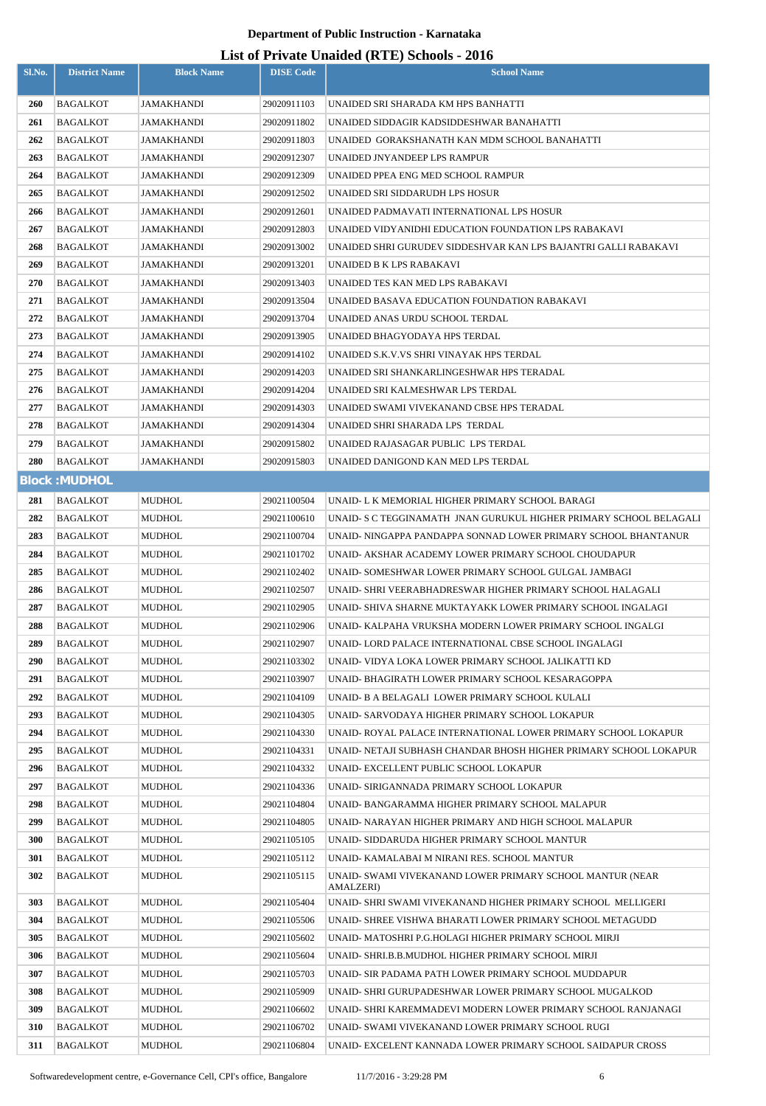| Sl.No.     | <b>District Name</b>        | <b>Block Name</b>       | <b>DISE Code</b>           | $\frac{1}{2}$<br><b>School Name</b>                                                                    |  |  |  |
|------------|-----------------------------|-------------------------|----------------------------|--------------------------------------------------------------------------------------------------------|--|--|--|
| <b>260</b> | BAGALKOT                    | JAMAKHANDI              | 29020911103                | UNAIDED SRI SHARADA KM HPS BANHATTI                                                                    |  |  |  |
| 261        | BAGALKOT                    | JAMAKHANDI              | 29020911802                | UNAIDED SIDDAGIR KADSIDDESHWAR BANAHATTI                                                               |  |  |  |
| 262        | BAGALKOT                    | JAMAKHANDI              | 29020911803                | UNAIDED GORAKSHANATH KAN MDM SCHOOL BANAHATTI                                                          |  |  |  |
| 263        | BAGALKOT                    | JAMAKHANDI              | 29020912307                | UNAIDED JNYANDEEP LPS RAMPUR                                                                           |  |  |  |
| 264        | BAGALKOT                    | JAMAKHANDI              | 29020912309                | UNAIDED PPEA ENG MED SCHOOL RAMPUR                                                                     |  |  |  |
| 265        | BAGALKOT                    | JAMAKHANDI              | 29020912502                | UNAIDED SRI SIDDARUDH LPS HOSUR                                                                        |  |  |  |
| 266        | BAGALKOT                    | JAMAKHANDI              | 29020912601                | UNAIDED PADMAVATI INTERNATIONAL LPS HOSUR                                                              |  |  |  |
| 267        | BAGALKOT                    | JAMAKHANDI              | 29020912803                | UNAIDED VIDYANIDHI EDUCATION FOUNDATION LPS RABAKAVI                                                   |  |  |  |
| 268        | BAGALKOT                    | JAMAKHANDI              | 29020913002                | UNAIDED SHRI GURUDEV SIDDESHVAR KAN LPS BAJANTRI GALLI RABAKAVI                                        |  |  |  |
| 269        | <b>BAGALKOT</b>             | JAMAKHANDI              | 29020913201                | UNAIDED B K LPS RABAKAVI                                                                               |  |  |  |
| 270        | BAGALKOT                    | JAMAKHANDI              | 29020913403                | UNAIDED TES KAN MED LPS RABAKAVI                                                                       |  |  |  |
| 271        | BAGALKOT                    | JAMAKHANDI              | 29020913504                | UNAIDED BASAVA EDUCATION FOUNDATION RABAKAVI                                                           |  |  |  |
| 272        | <b>BAGALKOT</b>             | JAMAKHANDI              | 29020913704                | UNAIDED ANAS URDU SCHOOL TERDAL                                                                        |  |  |  |
| 273        | BAGALKOT                    | JAMAKHANDI              | 29020913905                | UNAIDED BHAGYODAYA HPS TERDAL                                                                          |  |  |  |
| 274        | BAGALKOT                    | JAMAKHANDI              | 29020914102                | UNAIDED S.K.V.VS SHRI VINAYAK HPS TERDAL                                                               |  |  |  |
| 275        | BAGALKOT                    | JAMAKHANDI              | 29020914203                | UNAIDED SRI SHANKARLINGESHWAR HPS TERADAL                                                              |  |  |  |
| 276        | <b>BAGALKOT</b>             | JAMAKHANDI              | 29020914204                | UNAIDED SRI KALMESHWAR LPS TERDAL                                                                      |  |  |  |
| 277        | BAGALKOT                    | JAMAKHANDI              | 29020914303                | UNAIDED SWAMI VIVEKANAND CBSE HPS TERADAL                                                              |  |  |  |
| 278        | <b>BAGALKOT</b>             | JAMAKHANDI              | 29020914304                | UNAIDED SHRI SHARADA LPS TERDAL                                                                        |  |  |  |
| 279        | BAGALKOT                    | JAMAKHANDI              | 29020915802                | UNAIDED RAJASAGAR PUBLIC LPS TERDAL                                                                    |  |  |  |
| 280        | BAGALKOT                    | JAMAKHANDI              | 29020915803                | UNAIDED DANIGOND KAN MED LPS TERDAL                                                                    |  |  |  |
|            | <b>Block: MUDHOL</b>        |                         |                            |                                                                                                        |  |  |  |
| 281        | <b>BAGALKOT</b>             | MUDHOL                  | 29021100504                | UNAID- L K MEMORIAL HIGHER PRIMARY SCHOOL BARAGI                                                       |  |  |  |
| 282        | <b>BAGALKOT</b>             | <b>MUDHOL</b>           | 29021100610                | UNAID- S C TEGGINAMATH  JNAN GURUKUL HIGHER PRIMARY SCHOOL BELAGALI                                    |  |  |  |
| 283        | BAGALKOT                    | MUDHOL                  | 29021100704                | UNAID- NINGAPPA PANDAPPA SONNAD LOWER PRIMARY SCHOOL BHANTANUR                                         |  |  |  |
| 284        | <b>BAGALKOT</b>             | MUDHOL                  | 29021101702                | UNAID- AKSHAR ACADEMY LOWER PRIMARY SCHOOL CHOUDAPUR                                                   |  |  |  |
| 285        | BAGALKOT                    | MUDHOL                  | 29021102402                | UNAID- SOMESHWAR LOWER PRIMARY SCHOOL GULGAL JAMBAGI                                                   |  |  |  |
| 286        | <b>BAGALKOT</b>             | <b>MUDHOL</b>           | 29021102507                | UNAID- SHRI VEERABHADRESWAR HIGHER PRIMARY SCHOOL HALAGALI                                             |  |  |  |
| 287        | BAGALKOT                    | <b>MUDHOL</b>           | 29021102905                | UNAID- SHIVA SHARNE MUKTAYAKK LOWER PRIMARY SCHOOL INGALAGI                                            |  |  |  |
| 288        | <b>BAGALKOT</b>             | <b>MUDHOL</b>           | 29021102906                | UNAID- KALPAHA VRUKSHA MODERN LOWER PRIMARY SCHOOL INGALGI                                             |  |  |  |
| 289        | BAGALKOT                    | MUDHOL                  | 29021102907                | UNAID- LORD PALACE INTERNATIONAL CBSE SCHOOL INGALAGI                                                  |  |  |  |
| 290        | BAGALKOT                    | MUDHOL                  | 29021103302                | UNAID- VIDYA LOKA LOWER PRIMARY SCHOOL JALIKATTI KD                                                    |  |  |  |
| 291        | BAGALKOT                    | MUDHOL                  | 29021103907                | UNAID- BHAGIRATH LOWER PRIMARY SCHOOL KESARAGOPPA                                                      |  |  |  |
| 292        | <b>BAGALKOT</b>             | <b>MUDHOL</b>           | 29021104109                | UNAID- B A BELAGALI LOWER PRIMARY SCHOOL KULALI                                                        |  |  |  |
| 293        | BAGALKOT                    | MUDHOL                  | 29021104305                | UNAID- SARVODAYA HIGHER PRIMARY SCHOOL LOKAPUR                                                         |  |  |  |
| 294        | BAGALKOT                    | MUDHOL                  | 29021104330                | UNAID- ROYAL PALACE INTERNATIONAL LOWER PRIMARY SCHOOL LOKAPUR                                         |  |  |  |
| 295        | BAGALKOT                    | <b>MUDHOL</b>           | 29021104331                | UNAID- NETAJI SUBHASH CHANDAR BHOSH HIGHER PRIMARY SCHOOL LOKAPUR                                      |  |  |  |
| 296        | <b>BAGALKOT</b>             | <b>MUDHOL</b>           | 29021104332                | UNAID- EXCELLENT PUBLIC SCHOOL LOKAPUR                                                                 |  |  |  |
| 297        | BAGALKOT                    | MUDHOL                  | 29021104336                | UNAID- SIRIGANNADA PRIMARY SCHOOL LOKAPUR                                                              |  |  |  |
| 298<br>299 | <b>BAGALKOT</b>             | MUDHOL                  | 29021104804                | UNAID- BANGARAMMA HIGHER PRIMARY SCHOOL MALAPUR                                                        |  |  |  |
| 300        | BAGALKOT<br><b>BAGALKOT</b> | <b>MUDHOL</b><br>MUDHOL | 29021104805<br>29021105105 | UNAID- NARAYAN HIGHER PRIMARY AND HIGH SCHOOL MALAPUR<br>UNAID- SIDDARUDA HIGHER PRIMARY SCHOOL MANTUR |  |  |  |
| 301        | <b>BAGALKOT</b>             | MUDHOL                  | 29021105112                | UNAID- KAMALABAI M NIRANI RES. SCHOOL MANTUR                                                           |  |  |  |
| 302        | BAGALKOT                    | MUDHOL                  | 29021105115                | UNAID- SWAMI VIVEKANAND LOWER PRIMARY SCHOOL MANTUR (NEAR                                              |  |  |  |
|            |                             |                         |                            | AMALZERI)                                                                                              |  |  |  |
| 303        | BAGALKOT                    | MUDHOL                  | 29021105404                | UNAID- SHRI SWAMI VIVEKANAND HIGHER PRIMARY SCHOOL MELLIGERI                                           |  |  |  |
| 304        | BAGALKOT                    | <b>MUDHOL</b>           | 29021105506                | UNAID- SHREE VISHWA BHARATI LOWER PRIMARY SCHOOL METAGUDD                                              |  |  |  |
| 305        | BAGALKOT                    | MUDHOL                  | 29021105602                | UNAID- MATOSHRI P.G.HOLAGI HIGHER PRIMARY SCHOOL MIRJI                                                 |  |  |  |
| 306        | BAGALKOT                    | MUDHOL                  | 29021105604                | UNAID- SHRI.B.B.MUDHOL HIGHER PRIMARY SCHOOL MIRJI                                                     |  |  |  |
| 307        | BAGALKOT                    | MUDHOL                  | 29021105703                | UNAID- SIR PADAMA PATH LOWER PRIMARY SCHOOL MUDDAPUR                                                   |  |  |  |
| 308        | BAGALKOT                    | <b>MUDHOL</b>           | 29021105909                | UNAID- SHRI GURUPADESHWAR LOWER PRIMARY SCHOOL MUGALKOD                                                |  |  |  |
| 309        | <b>BAGALKOT</b>             | <b>MUDHOL</b>           | 29021106602                | UNAID- SHRI KAREMMADEVI MODERN LOWER PRIMARY SCHOOL RANJANAGI                                          |  |  |  |
| 310        | BAGALKOT                    | MUDHOL                  | 29021106702                | UNAID- SWAMI VIVEKANAND LOWER PRIMARY SCHOOL RUGI                                                      |  |  |  |
| 311        | <b>BAGALKOT</b>             | MUDHOL                  | 29021106804                | UNAID- EXCELENT KANNADA LOWER PRIMARY SCHOOL SAIDAPUR CROSS                                            |  |  |  |